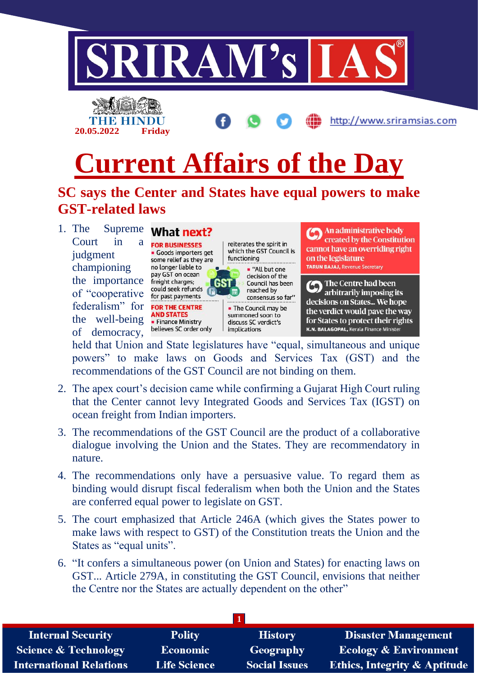

held that Union and State legislatures have "equal, simultaneous and unique powers" to make laws on Goods and Services Tax (GST) and the recommendations of the GST Council are not binding on them.

implications

discuss SC verdict's

K.N. BALAGOPAL, Kerala Finance Minister

of democracy,

• Finance Ministry

believes SC order only

- 2. The apex court's decision came while confirming a Gujarat High Court ruling that the Center cannot levy Integrated Goods and Services Tax (IGST) on ocean freight from Indian importers.
- 3. The recommendations of the GST Council are the product of a collaborative dialogue involving the Union and the States. They are recommendatory in nature.
- 4. The recommendations only have a persuasive value. To regard them as binding would disrupt fiscal federalism when both the Union and the States are conferred equal power to legislate on GST.
- 5. The court emphasized that Article 246A (which gives the States power to make laws with respect to GST) of the Constitution treats the Union and the States as "equal units".
- 6. "It confers a simultaneous power (on Union and States) for enacting laws on GST... Article 279A, in constituting the GST Council, envisions that neither the Centre nor the States are actually dependent on the other"

| <b>Internal Security</b>        | <b>Polity</b>       | <b>History</b>       | <b>Disaster Management</b>              |
|---------------------------------|---------------------|----------------------|-----------------------------------------|
| <b>Science &amp; Technology</b> | Economic            | Geography            | <b>Ecology &amp; Environment</b>        |
| <b>International Relations</b>  | <b>Life Science</b> | <b>Social Issues</b> | <b>Ethics, Integrity &amp; Aptitude</b> |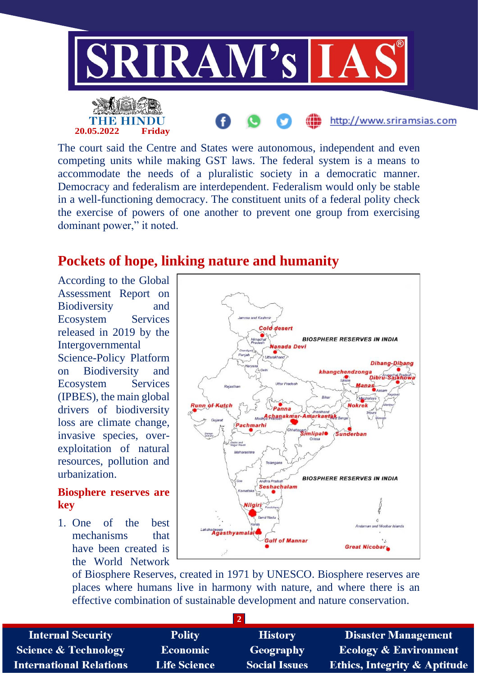

The court said the Centre and States were autonomous, independent and even competing units while making GST laws. The federal system is a means to accommodate the needs of a pluralistic society in a democratic manner. Democracy and federalism are interdependent. Federalism would only be stable in a well-functioning democracy. The constituent units of a federal polity check the exercise of powers of one another to prevent one group from exercising dominant power," it noted.

## **Pockets of hope, linking nature and humanity**

According to the Global Assessment Report on Biodiversity and Ecosystem Services released in 2019 by the Intergovernmental Science-Policy Platform on Biodiversity and Ecosystem Services (IPBES), the main global drivers of biodiversity loss are climate change, invasive species, overexploitation of natural resources, pollution and urbanization.

## **Biosphere reserves are key**

1. One of the best mechanisms that have been created is the World Network



of Biosphere Reserves, created in 1971 by UNESCO. Biosphere reserves are places where humans live in harmony with nature, and where there is an effective combination of sustainable development and nature conservation.

**2**

**Internal Security Science & Technology International Relations** 

**Polity Economic Life Science** 

**History** Geography **Social Issues** 

**Disaster Management Ecology & Environment Ethics, Integrity & Aptitude**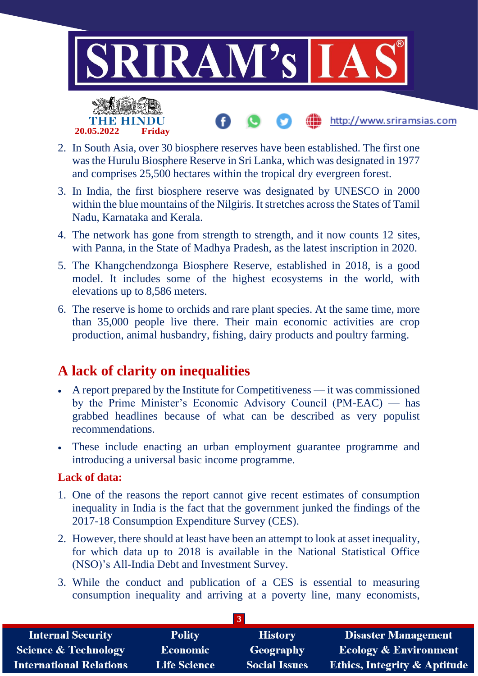

- 2. In South Asia, over 30 biosphere reserves have been established. The first one was the Hurulu Biosphere Reserve in Sri Lanka, which was designated in 1977 and comprises 25,500 hectares within the tropical dry evergreen forest.
- 3. In India, the first biosphere reserve was designated by UNESCO in 2000 within the blue mountains of the Nilgiris. It stretches across the States of Tamil Nadu, Karnataka and Kerala.
- 4. The network has gone from strength to strength, and it now counts 12 sites, with Panna, in the State of Madhya Pradesh, as the latest inscription in 2020.
- 5. The Khangchendzonga Biosphere Reserve, established in 2018, is a good model. It includes some of the highest ecosystems in the world, with elevations up to 8,586 meters.
- 6. The reserve is home to orchids and rare plant species. At the same time, more than 35,000 people live there. Their main economic activities are crop production, animal husbandry, fishing, dairy products and poultry farming.

## **A lack of clarity on inequalities**

**20.05.2022 Friday**

- A report prepared by the Institute for Competitiveness it was commissioned by the Prime Minister's Economic Advisory Council (PM-EAC) — has grabbed headlines because of what can be described as very populist recommendations.
- These include enacting an urban employment guarantee programme and introducing a universal basic income programme.

## **Lack of data:**

- 1. One of the reasons the report cannot give recent estimates of consumption inequality in India is the fact that the government junked the findings of the 2017-18 Consumption Expenditure Survey (CES).
- 2. However, there should at least have been an attempt to look at asset inequality, for which data up to 2018 is available in the National Statistical Office (NSO)'s All-India Debt and Investment Survey.
- 3. While the conduct and publication of a CES is essential to measuring consumption inequality and arriving at a poverty line, many economists,

| <b>Internal Security</b>        | <b>Polity</b>       | <b>History</b>       | <b>Disaster Management</b>              |  |  |  |
|---------------------------------|---------------------|----------------------|-----------------------------------------|--|--|--|
| <b>Science &amp; Technology</b> | Economic            | Geography            | <b>Ecology &amp; Environment</b>        |  |  |  |
| <b>International Relations</b>  | <b>Life Science</b> | <b>Social Issues</b> | <b>Ethics, Integrity &amp; Aptitude</b> |  |  |  |